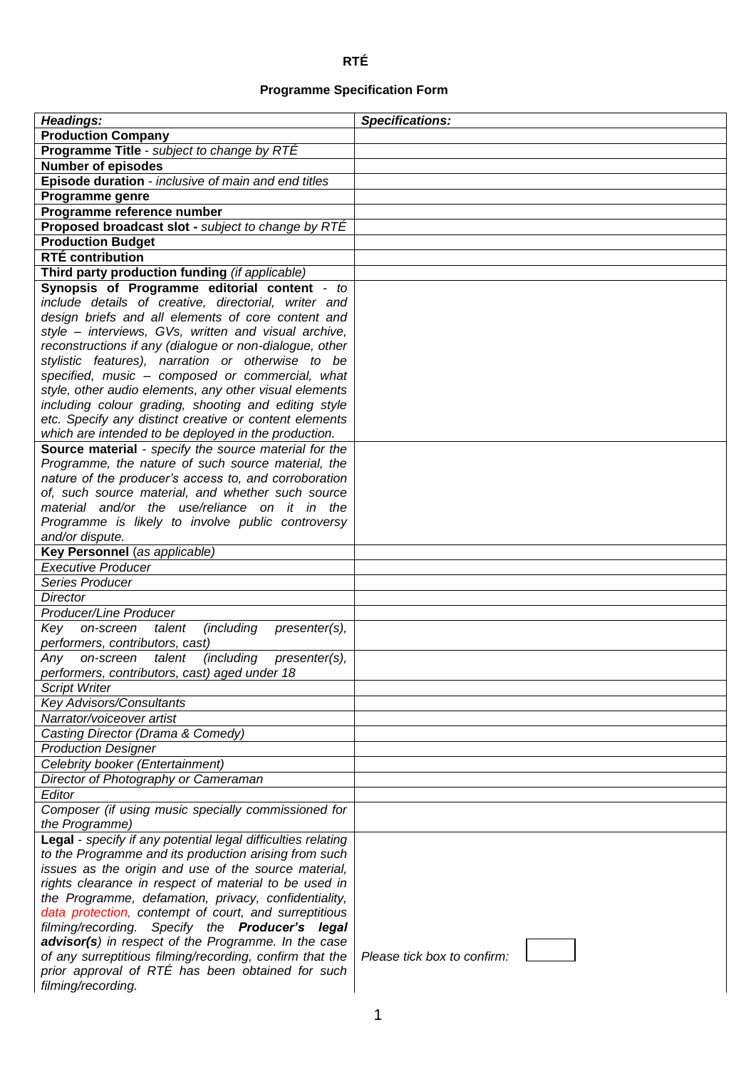## **RTÉ**

## **Programme Specification Form**

| Headings:                                                                                          | <b>Specifications:</b>      |
|----------------------------------------------------------------------------------------------------|-----------------------------|
| <b>Production Company</b>                                                                          |                             |
| Programme Title - subject to change by RTÉ                                                         |                             |
| <b>Number of episodes</b>                                                                          |                             |
| Episode duration - inclusive of main and end titles                                                |                             |
| Programme genre                                                                                    |                             |
| Programme reference number                                                                         |                             |
| <b>Proposed broadcast slot - subject to change by RTÉ</b>                                          |                             |
| <b>Production Budget</b>                                                                           |                             |
| <b>RTÉ contribution</b>                                                                            |                             |
| Third party production funding (if applicable)                                                     |                             |
| Synopsis of Programme editorial content - to                                                       |                             |
| include details of creative, directorial, writer and                                               |                             |
| design briefs and all elements of core content and                                                 |                             |
| style - interviews, GVs, written and visual archive,                                               |                             |
| reconstructions if any (dialogue or non-dialogue, other                                            |                             |
| stylistic features), narration or otherwise to be                                                  |                             |
| specified, music - composed or commercial, what                                                    |                             |
| style, other audio elements, any other visual elements                                             |                             |
| including colour grading, shooting and editing style                                               |                             |
| etc. Specify any distinct creative or content elements                                             |                             |
| which are intended to be deployed in the production.                                               |                             |
| Source material - specify the source material for the                                              |                             |
| Programme, the nature of such source material, the                                                 |                             |
| nature of the producer's access to, and corroboration                                              |                             |
| of, such source material, and whether such source<br>material and/or the use/reliance on it in the |                             |
| Programme is likely to involve public controversy                                                  |                             |
| and/or dispute.                                                                                    |                             |
| Key Personnel (as applicable)                                                                      |                             |
| <b>Executive Producer</b>                                                                          |                             |
| Series Producer                                                                                    |                             |
| <b>Director</b>                                                                                    |                             |
| Producer/Line Producer                                                                             |                             |
| Key<br>talent<br><i>(including</i><br>presenter(s),<br>on-screen                                   |                             |
| performers, contributors, cast)                                                                    |                             |
| on-screen talent<br>(including presenter(s),<br>Any                                                |                             |
| performers, contributors, cast) aged under 18                                                      |                             |
| <b>Script Writer</b>                                                                               |                             |
| <b>Key Advisors/Consultants</b>                                                                    |                             |
| Narrator/voiceover artist                                                                          |                             |
| Casting Director (Drama & Comedy)                                                                  |                             |
| <b>Production Designer</b>                                                                         |                             |
| Celebrity booker (Entertainment)                                                                   |                             |
| Director of Photography or Cameraman                                                               |                             |
| Editor                                                                                             |                             |
| Composer (if using music specially commissioned for                                                |                             |
| the Programme)                                                                                     |                             |
| Legal - specify if any potential legal difficulties relating                                       |                             |
| to the Programme and its production arising from such                                              |                             |
| issues as the origin and use of the source material,                                               |                             |
| rights clearance in respect of material to be used in                                              |                             |
| the Programme, defamation, privacy, confidentiality,                                               |                             |
| data protection, contempt of court, and surreptitious                                              |                             |
| filming/recording. Specify the <b>Producer's legal</b>                                             |                             |
| advisor(s) in respect of the Programme. In the case                                                |                             |
| of any surreptitious filming/recording, confirm that the                                           | Please tick box to confirm: |
| prior approval of RTÉ has been obtained for such                                                   |                             |
| filming/recording.                                                                                 |                             |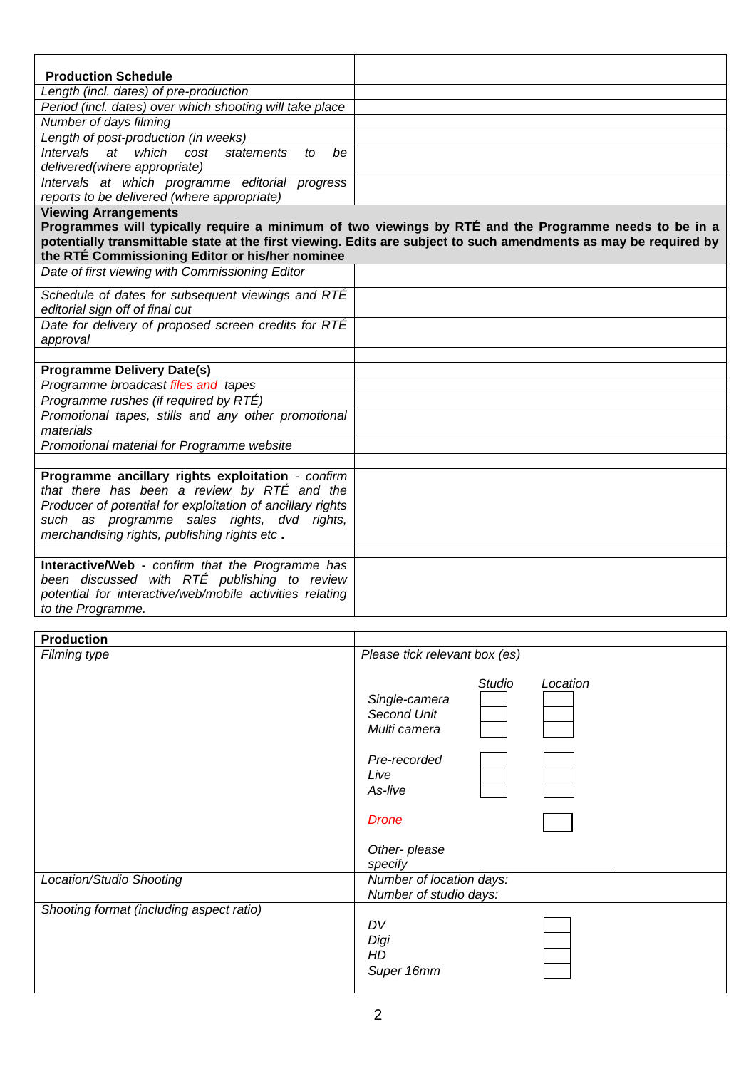| <b>Production Schedule</b>                                                                         |                                                                                                                  |
|----------------------------------------------------------------------------------------------------|------------------------------------------------------------------------------------------------------------------|
| Length (incl. dates) of pre-production<br>Period (incl. dates) over which shooting will take place |                                                                                                                  |
|                                                                                                    |                                                                                                                  |
| Number of days filming                                                                             |                                                                                                                  |
| Length of post-production (in weeks)<br>which                                                      |                                                                                                                  |
| Intervals<br>$a$ t<br>cost<br>statements<br>be<br>to<br>delivered(where appropriate)               |                                                                                                                  |
| Intervals at which programme editorial progress                                                    |                                                                                                                  |
| reports to be delivered (where appropriate)                                                        |                                                                                                                  |
| <b>Viewing Arrangements</b>                                                                        | Programmes will typically require a minimum of two viewings by RTÉ and the Programme needs to be in a            |
|                                                                                                    | potentially transmittable state at the first viewing. Edits are subject to such amendments as may be required by |
| the RTÉ Commissioning Editor or his/her nominee                                                    |                                                                                                                  |
| Date of first viewing with Commissioning Editor                                                    |                                                                                                                  |
| Schedule of dates for subsequent viewings and RTÉ                                                  |                                                                                                                  |
| editorial sign off of final cut                                                                    |                                                                                                                  |
| Date for delivery of proposed screen credits for RTÉ                                               |                                                                                                                  |
| approval                                                                                           |                                                                                                                  |
|                                                                                                    |                                                                                                                  |
| <b>Programme Delivery Date(s)</b>                                                                  |                                                                                                                  |
| Programme broadcast files and tapes                                                                |                                                                                                                  |
| Programme rushes (if required by RTÉ)                                                              |                                                                                                                  |
| Promotional tapes, stills and any other promotional                                                |                                                                                                                  |
| materials                                                                                          |                                                                                                                  |
| Promotional material for Programme website                                                         |                                                                                                                  |
|                                                                                                    |                                                                                                                  |
| Programme ancillary rights exploitation - confirm                                                  |                                                                                                                  |
| that there has been a review by RTÉ and the                                                        |                                                                                                                  |
| Producer of potential for exploitation of ancillary rights                                         |                                                                                                                  |
| such as programme sales rights, dvd rights,                                                        |                                                                                                                  |
| merchandising rights, publishing rights etc.                                                       |                                                                                                                  |
|                                                                                                    |                                                                                                                  |
| Interactive/Web - confirm that the Programme has                                                   |                                                                                                                  |
| been discussed with RTÉ publishing to review                                                       |                                                                                                                  |
| potential for interactive/web/mobile activities relating                                           |                                                                                                                  |
| to the Programme.                                                                                  |                                                                                                                  |

| <b>Production</b>                        |                                                                           |
|------------------------------------------|---------------------------------------------------------------------------|
| Filming type                             | Please tick relevant box (es)                                             |
|                                          | <b>Studio</b><br>Location<br>Single-camera<br>Second Unit<br>Multi camera |
|                                          | Pre-recorded                                                              |
|                                          | Live                                                                      |
|                                          | As-live                                                                   |
|                                          | <b>Drone</b>                                                              |
|                                          | Other-please                                                              |
|                                          | specify                                                                   |
| Location/Studio Shooting                 | Number of location days:<br>Number of studio days:                        |
| Shooting format (including aspect ratio) |                                                                           |
|                                          | DV<br>Digi<br>HD<br>Super 16mm                                            |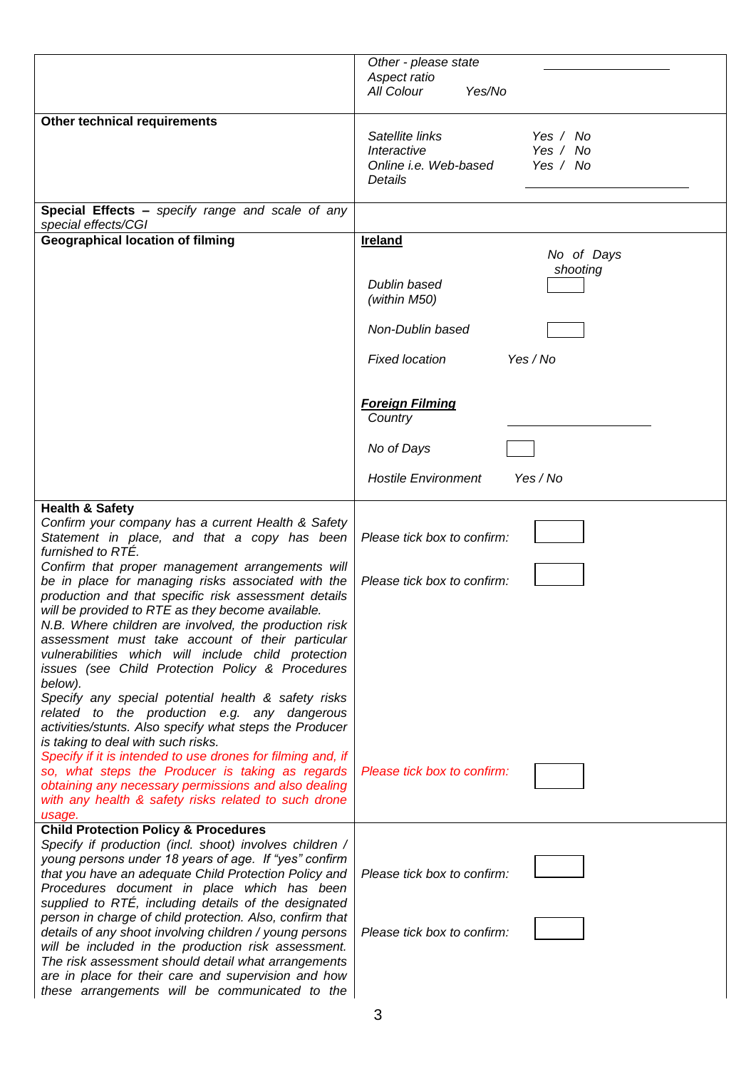| Aspect ratio<br>All Colour<br>Yes/No<br><b>Other technical requirements</b><br>Satellite links<br>Yes / No<br>Interactive<br>Yes / No<br>Online i.e. Web-based<br>Yes / No<br>Details<br>Special Effects - specify range and scale of any<br>special effects/CGI<br><b>Geographical location of filming</b><br><b>Ireland</b><br>No of Days<br>shooting<br>Dublin based<br>(within M50)<br>Non-Dublin based<br><b>Fixed location</b><br>Yes / No<br><b>Foreign Filming</b><br>Country |
|---------------------------------------------------------------------------------------------------------------------------------------------------------------------------------------------------------------------------------------------------------------------------------------------------------------------------------------------------------------------------------------------------------------------------------------------------------------------------------------|
|                                                                                                                                                                                                                                                                                                                                                                                                                                                                                       |
|                                                                                                                                                                                                                                                                                                                                                                                                                                                                                       |
|                                                                                                                                                                                                                                                                                                                                                                                                                                                                                       |
|                                                                                                                                                                                                                                                                                                                                                                                                                                                                                       |
|                                                                                                                                                                                                                                                                                                                                                                                                                                                                                       |
|                                                                                                                                                                                                                                                                                                                                                                                                                                                                                       |
|                                                                                                                                                                                                                                                                                                                                                                                                                                                                                       |
|                                                                                                                                                                                                                                                                                                                                                                                                                                                                                       |
|                                                                                                                                                                                                                                                                                                                                                                                                                                                                                       |
|                                                                                                                                                                                                                                                                                                                                                                                                                                                                                       |
|                                                                                                                                                                                                                                                                                                                                                                                                                                                                                       |
|                                                                                                                                                                                                                                                                                                                                                                                                                                                                                       |
|                                                                                                                                                                                                                                                                                                                                                                                                                                                                                       |
|                                                                                                                                                                                                                                                                                                                                                                                                                                                                                       |
|                                                                                                                                                                                                                                                                                                                                                                                                                                                                                       |
|                                                                                                                                                                                                                                                                                                                                                                                                                                                                                       |
|                                                                                                                                                                                                                                                                                                                                                                                                                                                                                       |
|                                                                                                                                                                                                                                                                                                                                                                                                                                                                                       |
|                                                                                                                                                                                                                                                                                                                                                                                                                                                                                       |
|                                                                                                                                                                                                                                                                                                                                                                                                                                                                                       |
|                                                                                                                                                                                                                                                                                                                                                                                                                                                                                       |
| No of Days                                                                                                                                                                                                                                                                                                                                                                                                                                                                            |
| <b>Hostile Environment</b><br>Yes / No                                                                                                                                                                                                                                                                                                                                                                                                                                                |
| <b>Health &amp; Safety</b>                                                                                                                                                                                                                                                                                                                                                                                                                                                            |
| Confirm your company has a current Health & Safety                                                                                                                                                                                                                                                                                                                                                                                                                                    |
| Statement in place, and that a copy has been<br>Please tick box to confirm:                                                                                                                                                                                                                                                                                                                                                                                                           |
| furnished to RTÉ.                                                                                                                                                                                                                                                                                                                                                                                                                                                                     |
| Confirm that proper management arrangements will                                                                                                                                                                                                                                                                                                                                                                                                                                      |
| be in place for managing risks associated with the<br>Please tick box to confirm:                                                                                                                                                                                                                                                                                                                                                                                                     |
| production and that specific risk assessment details                                                                                                                                                                                                                                                                                                                                                                                                                                  |
| will be provided to RTE as they become available.<br>N.B. Where children are involved, the production risk                                                                                                                                                                                                                                                                                                                                                                            |
| assessment must take account of their particular                                                                                                                                                                                                                                                                                                                                                                                                                                      |
| vulnerabilities which will include child protection                                                                                                                                                                                                                                                                                                                                                                                                                                   |
| issues (see Child Protection Policy & Procedures                                                                                                                                                                                                                                                                                                                                                                                                                                      |
| below).                                                                                                                                                                                                                                                                                                                                                                                                                                                                               |
| Specify any special potential health & safety risks                                                                                                                                                                                                                                                                                                                                                                                                                                   |
| related to the production e.g. any dangerous                                                                                                                                                                                                                                                                                                                                                                                                                                          |
| activities/stunts. Also specify what steps the Producer<br>is taking to deal with such risks.                                                                                                                                                                                                                                                                                                                                                                                         |
| Specify if it is intended to use drones for filming and, if                                                                                                                                                                                                                                                                                                                                                                                                                           |
| so, what steps the Producer is taking as regards<br>Please tick box to confirm:                                                                                                                                                                                                                                                                                                                                                                                                       |
| obtaining any necessary permissions and also dealing                                                                                                                                                                                                                                                                                                                                                                                                                                  |
| with any health & safety risks related to such drone                                                                                                                                                                                                                                                                                                                                                                                                                                  |
| usage.                                                                                                                                                                                                                                                                                                                                                                                                                                                                                |
| <b>Child Protection Policy &amp; Procedures</b>                                                                                                                                                                                                                                                                                                                                                                                                                                       |
| Specify if production (incl. shoot) involves children /<br>young persons under 18 years of age. If "yes" confirm                                                                                                                                                                                                                                                                                                                                                                      |
| that you have an adequate Child Protection Policy and<br>Please tick box to confirm:                                                                                                                                                                                                                                                                                                                                                                                                  |
| Procedures document in place which has been                                                                                                                                                                                                                                                                                                                                                                                                                                           |
| supplied to RTÉ, including details of the designated                                                                                                                                                                                                                                                                                                                                                                                                                                  |
| person in charge of child protection. Also, confirm that                                                                                                                                                                                                                                                                                                                                                                                                                              |
| details of any shoot involving children / young persons<br>Please tick box to confirm:                                                                                                                                                                                                                                                                                                                                                                                                |
| will be included in the production risk assessment.                                                                                                                                                                                                                                                                                                                                                                                                                                   |
| The risk assessment should detail what arrangements                                                                                                                                                                                                                                                                                                                                                                                                                                   |
| are in place for their care and supervision and how<br>these arrangements will be communicated to the                                                                                                                                                                                                                                                                                                                                                                                 |